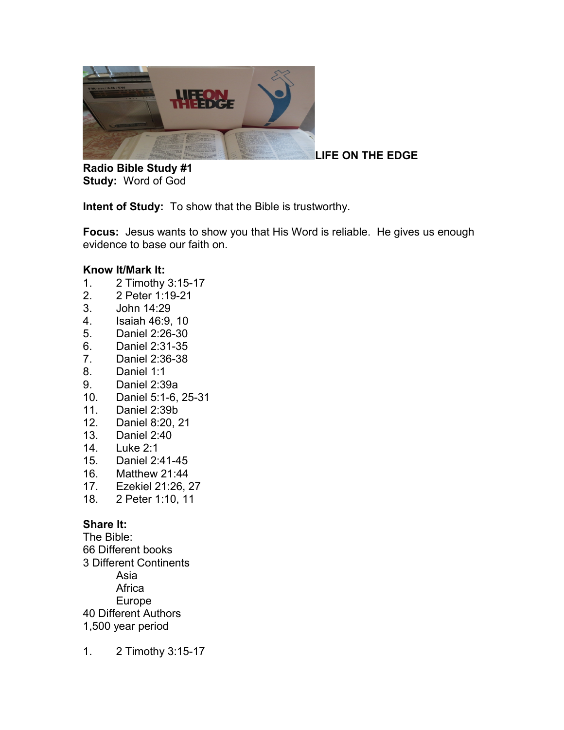

**LIFE ON THE EDGE** 

**Radio Bible Study #1 Study:** Word of God

**Intent of Study:** To show that the Bible is trustworthy.

**Focus:** Jesus wants to show you that His Word is reliable. He gives us enough evidence to base our faith on.

## **Know It/Mark It:**

- 1. 2 Timothy 3:15-17
- 2. 2 Peter 1:19-21
- 3. John 14:29
- 4. Isaiah 46:9, 10
- 5. Daniel 2:26-30
- 6. Daniel 2:31-35
- 7. Daniel 2:36-38
- 8. Daniel 1:1
- 9. Daniel 2:39a
- 10. Daniel 5:1-6, 25-31
- 11. Daniel 2:39b
- 12. Daniel 8:20, 21
- 13. Daniel 2:40
- 14. Luke 2:1
- 15. Daniel 2:41-45
- 16. Matthew 21:44
- 17. Ezekiel 21:26, 27
- 18. 2 Peter 1:10, 11

## **Share It:**

The Bible: 66 Different books 3 Different Continents Asia **Africa** Europe 40 Different Authors 1,500 year period

1. 2 Timothy 3:15-17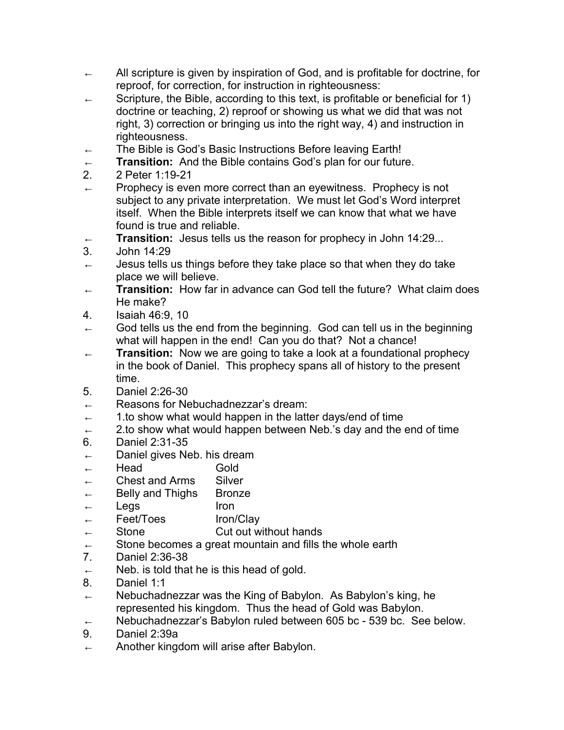- ← All scripture is given by inspiration of God, and is profitable for doctrine, for reproof, for correction, for instruction in righteousness:
- ← Scripture, the Bible, according to this text, is profitable or beneficial for 1) doctrine or teaching, 2) reproof or showing us what we did that was not right, 3) correction or bringing us into the right way, 4) and instruction in righteousness.
- ← The Bible is God's Basic Instructions Before leaving Earth!
- **Transition:** And the Bible contains God's plan for our future.
- 2. 2 Peter 1:19-21
- $\leftarrow$  Prophecy is even more correct than an eyewitness. Prophecy is not subject to any private interpretation. We must let God's Word interpret itself. When the Bible interprets itself we can know that what we have found is true and reliable.
- ← **Transition:** Jesus tells us the reason for prophecy in John 14:29...
- 3. John 14:29
- $\leftarrow$  Jesus tells us things before they take place so that when they do take place we will believe.
- ← **Transition:** How far in advance can God tell the future? What claim does He make?
- 4. Isaiah 46:9, 10
- $\leftarrow$  God tells us the end from the beginning. God can tell us in the beginning what will happen in the end! Can you do that? Not a chance!
- ← **Transition:** Now we are going to take a look at a foundational prophecy in the book of Daniel. This prophecy spans all of history to the present time.
- 5. Daniel 2:26-30
- ← Reasons for Nebuchadnezzar's dream:
- $\leftarrow$  1.to show what would happen in the latter days/end of time
- $\leftarrow$  2.to show what would happen between Neb.'s day and the end of time
- 6. Daniel 2:31-35
- ← Daniel gives Neb. his dream
- ← Head Gold
- ← Chest and Arms Silver
- ← Belly and Thighs Bronze
- $\leftarrow$  Legs Iron
- ← Feet/Toes Iron/Clay
- $\leftarrow$  Stone Cut out without hands
- $\leftarrow$  Stone becomes a great mountain and fills the whole earth
- 7. Daniel 2:36-38
- $\leftarrow$  Neb. is told that he is this head of gold.
- 8. Daniel 1:1
- $\leftarrow$  Nebuchadnezzar was the King of Babylon. As Babylon's king, he represented his kingdom. Thus the head of Gold was Babylon.
- Nebuchadnezzar's Babylon ruled between 605 bc 539 bc. See below.
- 9. Daniel 2:39a
- $\leftarrow$  Another kingdom will arise after Babylon.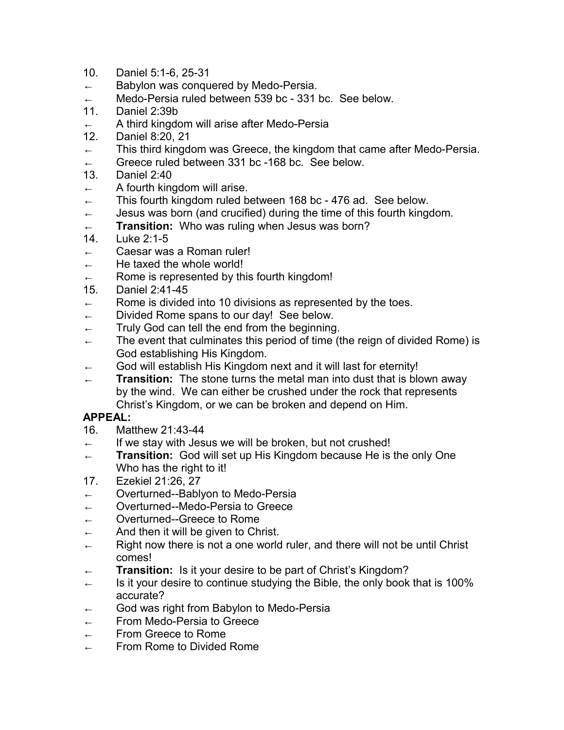- 10. Daniel 5:1-6, 25-31
- $\leftarrow$  Babylon was conquered by Medo-Persia.
- ← Medo-Persia ruled between 539 bc 331 bc. See below.
- 11. Daniel 2:39b
- $\leftarrow$  A third kingdom will arise after Medo-Persia
- 12. Daniel 8:20, 21
- $\leftarrow$  This third kingdom was Greece, the kingdom that came after Medo-Persia.
- ← Greece ruled between 331 bc -168 bc. See below.
- 13. Daniel 2:40
- $\leftarrow$  A fourth kingdom will arise.
- ← This fourth kingdom ruled between 168 bc 476 ad. See below.
- $\leftarrow$  Jesus was born (and crucified) during the time of this fourth kingdom.
- ← **Transition:** Who was ruling when Jesus was born?
- 14. Luke 2:1-5
- ← Caesar was a Roman ruler!
- $\leftarrow$  He taxed the whole world!
- $\leftarrow$  Rome is represented by this fourth kingdom!
- 15. Daniel 2:41-45
- $\leftarrow$  Rome is divided into 10 divisions as represented by the toes.
- ← Divided Rome spans to our day! See below.
- $\leftarrow$  Truly God can tell the end from the beginning.
- ← The event that culminates this period of time (the reign of divided Rome) is God establishing His Kingdom.
- $\leftarrow$  God will establish His Kingdom next and it will last for eternity!
- ← **Transition:** The stone turns the metal man into dust that is blown away by the wind. We can either be crushed under the rock that represents Christ's Kingdom, or we can be broken and depend on Him.

## **APPEAL:**

- 16. Matthew 21:43-44
- $\leftarrow$  If we stay with Jesus we will be broken, but not crushed!
- ← **Transition:** God will set up His Kingdom because He is the only One Who has the right to it!
- 17. Ezekiel 21:26, 27
- ← Overturned--Bablyon to Medo-Persia
- ← Overturned--Medo-Persia to Greece
- ← Overturned--Greece to Rome
- $\leftarrow$  And then it will be given to Christ.
- $\leftarrow$  Right now there is not a one world ruler, and there will not be until Christ comes!
- ← **Transition:** Is it your desire to be part of Christ's Kingdom?
- $\leftarrow$  Is it your desire to continue studying the Bible, the only book that is 100% accurate?
- $\leftarrow$  God was right from Babylon to Medo-Persia
- ← From Medo-Persia to Greece
- ← From Greece to Rome
- ← From Rome to Divided Rome